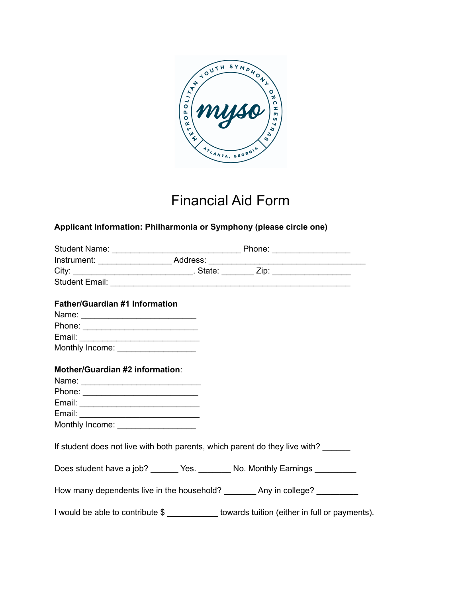

## Financial Aid Form

## **Applicant Information: Philharmonia or Symphony (please circle one)**

|                                       | Instrument: _________________________Address: __________________________________           |
|---------------------------------------|--------------------------------------------------------------------------------------------|
|                                       |                                                                                            |
|                                       |                                                                                            |
| <b>Father/Guardian #1 Information</b> |                                                                                            |
|                                       |                                                                                            |
|                                       |                                                                                            |
|                                       |                                                                                            |
|                                       |                                                                                            |
| Monthly Income: ___________________   |                                                                                            |
| Mother/Guardian #2 information:       |                                                                                            |
|                                       |                                                                                            |
|                                       |                                                                                            |
|                                       |                                                                                            |
|                                       |                                                                                            |
|                                       |                                                                                            |
| Monthly Income: _________________     |                                                                                            |
|                                       | If student does not live with both parents, which parent do they live with?                |
|                                       | Does student have a job? _______ Yes. ________ No. Monthly Earnings __________             |
|                                       | How many dependents live in the household? __________ Any in college? __________           |
|                                       | I would be able to contribute \$ ___________ towards tuition (either in full or payments). |